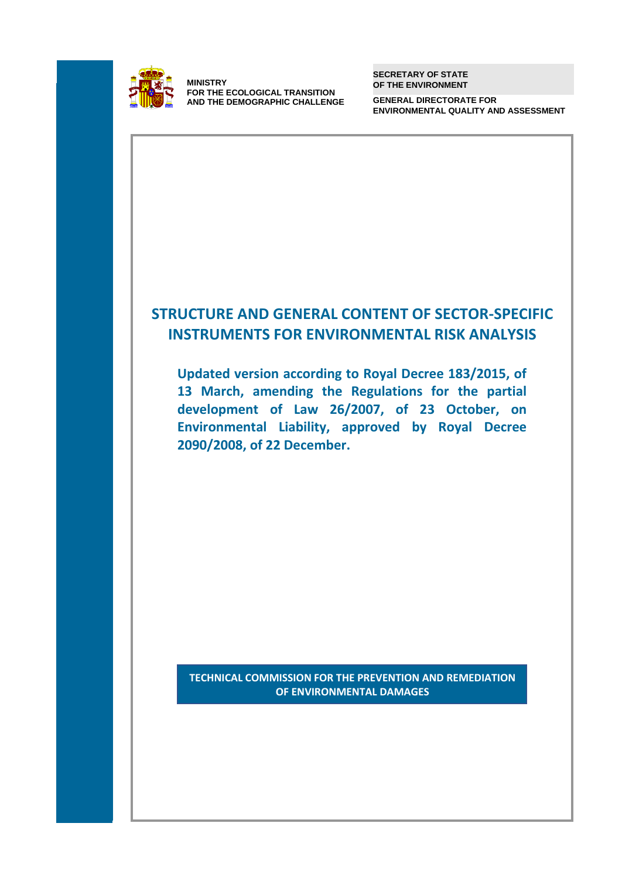

**MINISTRY FOR THE ECOLOGICAL TRANSITION AND THE DEMOGRAPHIC CHALLENGE**  **SECRETARY OF STATE OF THE ENVIRONMENT** 

**GENERAL DIRECTORATE FOR ENVIRONMENTAL QUALITY AND ASSESSMENT**

# **STRUCTURE AND GENERAL CONTENT OF SECTOR-SPECIFIC INSTRUMENTS FOR ENVIRONMENTAL RISK ANALYSIS**

Updated version according to Royal Decree 183/2015, of 13 March, amending the Regulations for the partial **2090/2008. of 22 December. development of Law 26/2007, of 23 October, on Environmental Liability, approved by Royal Decree 2090/2008, of 22 December.** 

> **TECHNICAL COMMISSION FOR THE PREVENTION AND REMEDIATION OF ENVIRONMENTAL DAMAGES**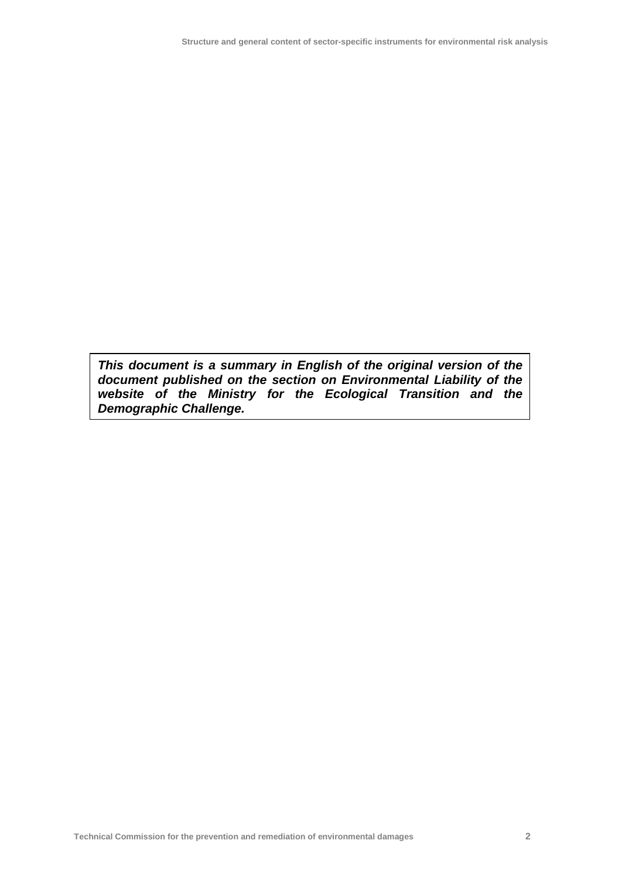*This document is a summary in English of the original version of the document published on the section on Environmental Liability of the website of the Ministry for the Ecological Transition and the Demographic Challenge.*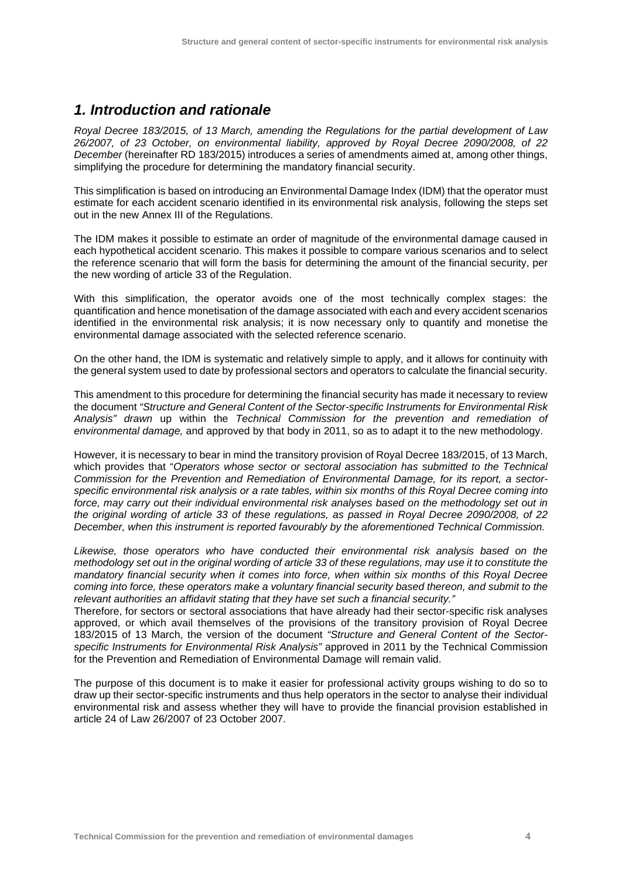## <span id="page-3-0"></span>*1. Introduction and rationale*

*Royal Decree 183/2015, of 13 March, amending the Regulations for the partial development of Law 26/2007, of 23 October, on environmental liability, approved by Royal Decree 2090/2008, of 22 December* (hereinafter RD 183/2015) introduces a series of amendments aimed at, among other things, simplifying the procedure for determining the mandatory financial security.

This simplification is based on introducing an Environmental Damage Index (IDM) that the operator must estimate for each accident scenario identified in its environmental risk analysis, following the steps set out in the new Annex III of the Regulations.

The IDM makes it possible to estimate an order of magnitude of the environmental damage caused in each hypothetical accident scenario. This makes it possible to compare various scenarios and to select the reference scenario that will form the basis for determining the amount of the financial security, per the new wording of article 33 of the Regulation.

With this simplification, the operator avoids one of the most technically complex stages: the quantification and hence monetisation of the damage associated with each and every accident scenarios identified in the environmental risk analysis; it is now necessary only to quantify and monetise the environmental damage associated with the selected reference scenario.

On the other hand, the IDM is systematic and relatively simple to apply, and it allows for continuity with the general system used to date by professional sectors and operators to calculate the financial security.

This amendment to this procedure for determining the financial security has made it necessary to review the document *"Structure and General Content of the Sector-specific Instruments for Environmental Risk Analysis" drawn* up within the *Technical Commission for the prevention and remediation of environmental damage,* and approved by that body in 2011, so as to adapt it to the new methodology.

However*,* it is necessary to bear in mind the transitory provision of Royal Decree 183/2015, of 13 March, which provides that "*Operators whose sector or sectoral association has submitted to the Technical Commission for the Prevention and Remediation of Environmental Damage, for its report, a sectorspecific environmental risk analysis or a rate tables, within six months of this Royal Decree coming into force, may carry out their individual environmental risk analyses based on the methodology set out in the original wording of article 33 of these regulations, as passed in Royal Decree 2090/2008, of 22 December, when this instrument is reported favourably by the aforementioned Technical Commission.* 

*Likewise, those operators who have conducted their environmental risk analysis based on the methodology set out in the original wording of article 33 of these regulations, may use it to constitute the mandatory financial security when it comes into force, when within six months of this Royal Decree coming into force, these operators make a voluntary financial security based thereon, and submit to the relevant authorities an affidavit stating that they have set such a financial security."* 

Therefore, for sectors or sectoral associations that have already had their sector-specific risk analyses approved, or which avail themselves of the provisions of the transitory provision of Royal Decree 183/2015 of 13 March, the version of the document *"Structure and General Content of the Sectorspecific Instruments for Environmental Risk Analysis"* approved in 2011 by the Technical Commission for the Prevention and Remediation of Environmental Damage will remain valid.

The purpose of this document is to make it easier for professional activity groups wishing to do so to draw up their sector-specific instruments and thus help operators in the sector to analyse their individual environmental risk and assess whether they will have to provide the financial provision established in article 24 of Law 26/2007 of 23 October 2007.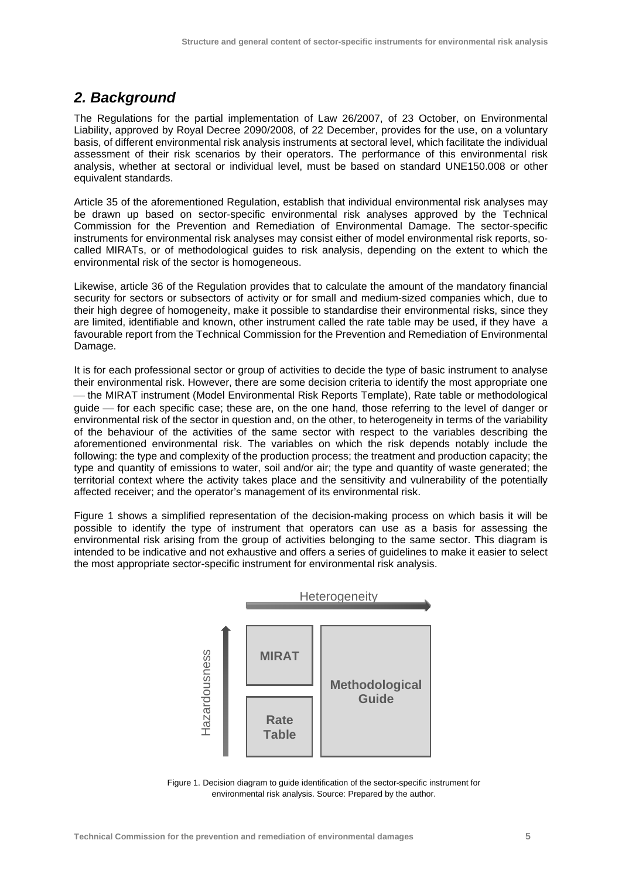## <span id="page-4-0"></span>*2. Background*

The Regulations for the partial implementation of Law 26/2007, of 23 October, on Environmental Liability, approved by Royal Decree 2090/2008, of 22 December, provides for the use, on a voluntary basis, of different environmental risk analysis instruments at sectoral level, which facilitate the individual assessment of their risk scenarios by their operators. The performance of this environmental risk analysis, whether at sectoral or individual level, must be based on standard UNE150.008 or other equivalent standards.

Article 35 of the aforementioned Regulation, establish that individual environmental risk analyses may be drawn up based on sector-specific environmental risk analyses approved by the Technical Commission for the Prevention and Remediation of Environmental Damage. The sector-specific instruments for environmental risk analyses may consist either of model environmental risk reports, socalled MIRATs, or of methodological guides to risk analysis, depending on the extent to which the environmental risk of the sector is homogeneous.

Likewise, article 36 of the Regulation provides that to calculate the amount of the mandatory financial security for sectors or subsectors of activity or for small and medium-sized companies which, due to their high degree of homogeneity, make it possible to standardise their environmental risks, since they are limited, identifiable and known, other instrument called the rate table may be used, if they have a favourable report from the Technical Commission for the Prevention and Remediation of Environmental Damage.

It is for each professional sector or group of activities to decide the type of basic instrument to analyse their environmental risk. However, there are some decision criteria to identify the most appropriate one the MIRAT instrument (Model Environmental Risk Reports Template), Rate table or methodological guide — for each specific case; these are, on the one hand, those referring to the level of danger or environmental risk of the sector in question and, on the other, to heterogeneity in terms of the variability of the behaviour of the activities of the same sector with respect to the variables describing the aforementioned environmental risk. The variables on which the risk depends notably include the following: the type and complexity of the production process; the treatment and production capacity; the type and quantity of emissions to water, soil and/or air; the type and quantity of waste generated; the territorial context where the activity takes place and the sensitivity and vulnerability of the potentially affected receiver; and the operator's management of its environmental risk.

Figure 1 shows a simplified representation of the decision-making process on which basis it will be possible to identify the type of instrument that operators can use as a basis for assessing the environmental risk arising from the group of activities belonging to the same sector. This diagram is intended to be indicative and not exhaustive and offers a series of guidelines to make it easier to select the most appropriate sector-specific instrument for environmental risk analysis.



Figure 1. Decision diagram to guide identification of the sector-specific instrument for environmental risk analysis. Source: Prepared by the author.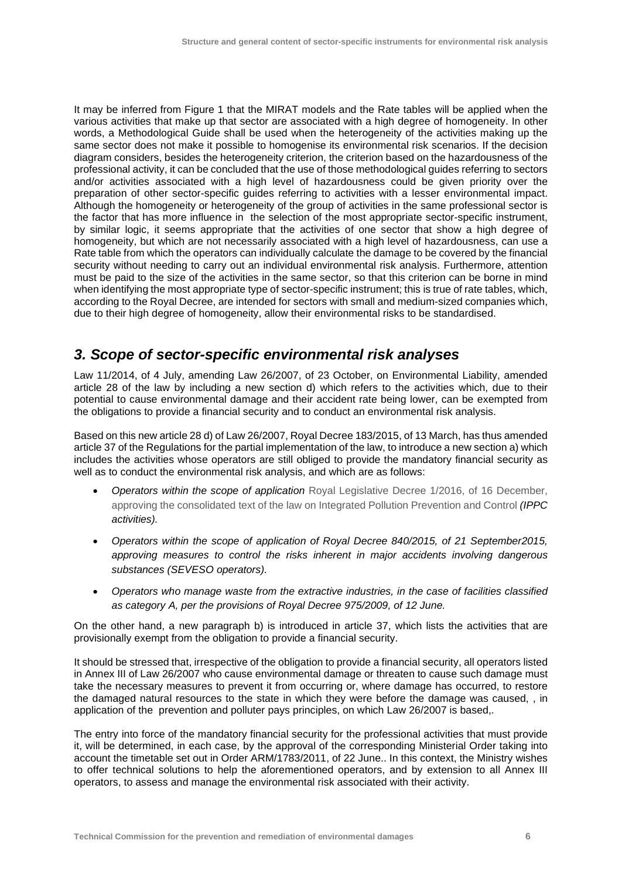It may be inferred from Figure 1 that the MIRAT models and the Rate tables will be applied when the various activities that make up that sector are associated with a high degree of homogeneity. In other words, a Methodological Guide shall be used when the heterogeneity of the activities making up the same sector does not make it possible to homogenise its environmental risk scenarios. If the decision diagram considers, besides the heterogeneity criterion, the criterion based on the hazardousness of the professional activity, it can be concluded that the use of those methodological guides referring to sectors and/or activities associated with a high level of hazardousness could be given priority over the preparation of other sector-specific guides referring to activities with a lesser environmental impact. Although the homogeneity or heterogeneity of the group of activities in the same professional sector is the factor that has more influence in the selection of the most appropriate sector-specific instrument, by similar logic, it seems appropriate that the activities of one sector that show a high degree of homogeneity, but which are not necessarily associated with a high level of hazardousness, can use a Rate table from which the operators can individually calculate the damage to be covered by the financial security without needing to carry out an individual environmental risk analysis. Furthermore, attention must be paid to the size of the activities in the same sector, so that this criterion can be borne in mind when identifying the most appropriate type of sector-specific instrument; this is true of rate tables, which, according to the Royal Decree, are intended for sectors with small and medium-sized companies which, due to their high degree of homogeneity, allow their environmental risks to be standardised.

## <span id="page-5-0"></span>*3. Scope of sector-specific environmental risk analyses*

Law 11/2014, of 4 July, amending Law 26/2007, of 23 October, on Environmental Liability, amended article 28 of the law by including a new section d) which refers to the activities which, due to their potential to cause environmental damage and their accident rate being lower, can be exempted from the obligations to provide a financial security and to conduct an environmental risk analysis.

Based on this new article 28 d) of Law 26/2007, Royal Decree 183/2015, of 13 March, has thus amended article 37 of the Regulations for the partial implementation of the law, to introduce a new section a) which includes the activities whose operators are still obliged to provide the mandatory financial security as well as to conduct the environmental risk analysis, and which are as follows:

- *Operators within the scope of application* Royal Legislative Decree 1/2016, of 16 December, approving the consolidated text of the law on Integrated Pollution Prevention and Control *(IPPC activities).*
- *Operators within the scope of application of Royal Decree 840/2015, of 21 September2015, approving measures to control the risks inherent in major accidents involving dangerous substances (SEVESO operators).*
- *Operators who manage waste from the extractive industries, in the case of facilities classified as category A, per the provisions of Royal Decree 975/2009, of 12 June.*

On the other hand, a new paragraph b) is introduced in article 37, which lists the activities that are provisionally exempt from the obligation to provide a financial security.

It should be stressed that, irrespective of the obligation to provide a financial security, all operators listed in Annex III of Law 26/2007 who cause environmental damage or threaten to cause such damage must take the necessary measures to prevent it from occurring or, where damage has occurred, to restore the damaged natural resources to the state in which they were before the damage was caused, , in application of the prevention and polluter pays principles, on which Law 26/2007 is based,.

The entry into force of the mandatory financial security for the professional activities that must provide it, will be determined, in each case, by the approval of the corresponding Ministerial Order taking into account the timetable set out in Order ARM/1783/2011, of 22 June.. In this context, the Ministry wishes to offer technical solutions to help the aforementioned operators, and by extension to all Annex III operators, to assess and manage the environmental risk associated with their activity.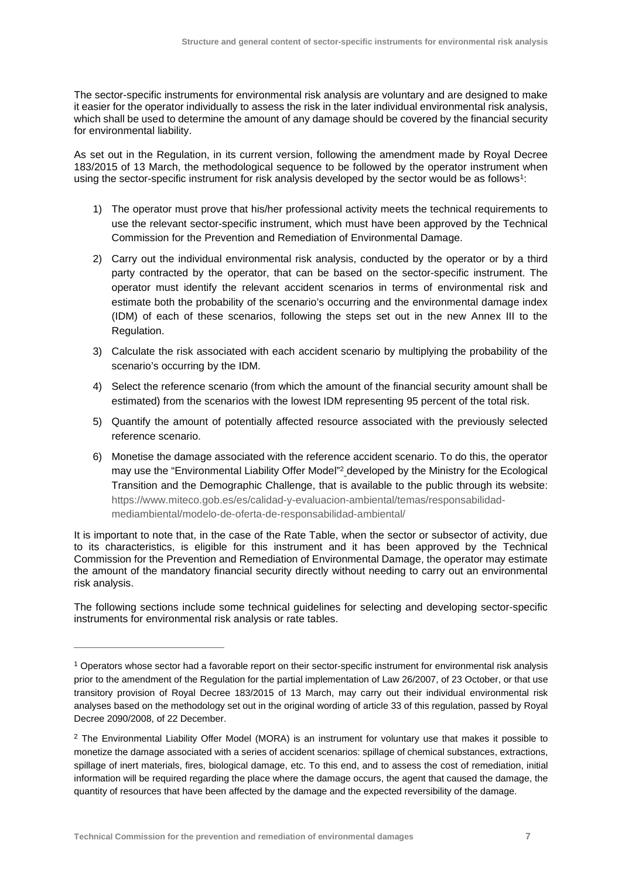The sector-specific instruments for environmental risk analysis are voluntary and are designed to make it easier for the operator individually to assess the risk in the later individual environmental risk analysis, which shall be used to determine the amount of any damage should be covered by the financial security for environmental liability.

As set out in the Regulation, in its current version, following the amendment made by Royal Decree 183/2015 of 13 March, the methodological sequence to be followed by the operator instrument when using the sector-specific instrument for risk analysis developed by the sector would be as follows<sup>1</sup>:

- 1) The operator must prove that his/her professional activity meets the technical requirements to use the relevant sector-specific instrument, which must have been approved by the Technical Commission for the Prevention and Remediation of Environmental Damage.
- 2) Carry out the individual environmental risk analysis, conducted by the operator or by a third party contracted by the operator, that can be based on the sector-specific instrument. The operator must identify the relevant accident scenarios in terms of environmental risk and estimate both the probability of the scenario's occurring and the environmental damage index (IDM) of each of these scenarios, following the steps set out in the new Annex III to the Regulation.
- 3) Calculate the risk associated with each accident scenario by multiplying the probability of the scenario's occurring by the IDM.
- 4) Select the reference scenario (from which the amount of the financial security amount shall be estimated) from the scenarios with the lowest IDM representing 95 percent of the total risk.
- 5) Quantify the amount of potentially affected resource associated with the previously selected reference scenario.
- 6) Monetise the damage associated with the reference accident scenario. To do this, the operator may use the "Environmental Liability Offer Model"<sup>2</sup> [d](http://www.magrama.gob.es/es/calidad-y-evaluacion-ambiental/temas/responsabilidad-mediambiental/modelo-de-oferta-de-responsabilidad-ambiental/)eveloped by the Ministry for the Ecological Transition and the Demographic Challenge, that is available to the public through its website: https://www.miteco.gob.es/es/calidad-y-evaluacion-ambiental/temas/responsabilidadmediambiental/modelo-de-oferta-de-responsabilidad-ambiental/

It is important to note that, in the case of the Rate Table, when the sector or subsector of activity, due to its characteristics, is eligible for this instrument and it has been approved by the Technical Commission for the Prevention and Remediation of Environmental Damage, the operator may estimate the amount of the mandatory financial security directly without needing to carry out an environmental risk analysis.

The following sections include some technical guidelines for selecting and developing sector-specific instruments for environmental risk analysis or rate tables.

<sup>1</sup> Operators whose sector had a favorable report on their sector-specific instrument for environmental risk analysis prior to the amendment of the Regulation for the partial implementation of Law 26/2007, of 23 October, or that use transitory provision of Royal Decree 183/2015 of 13 March, may carry out their individual environmental risk analyses based on the methodology set out in the original wording of article 33 of this regulation, passed by Royal Decree 2090/2008, of 22 December.

<sup>&</sup>lt;sup>2</sup> The Environmental Liability Offer Model (MORA) is an instrument for voluntary use that makes it possible to monetize the damage associated with a series of accident scenarios: spillage of chemical substances, extractions, spillage of inert materials, fires, biological damage, etc. To this end, and to assess the cost of remediation, initial information will be required regarding the place where the damage occurs, the agent that caused the damage, the quantity of resources that have been affected by the damage and the expected reversibility of the damage.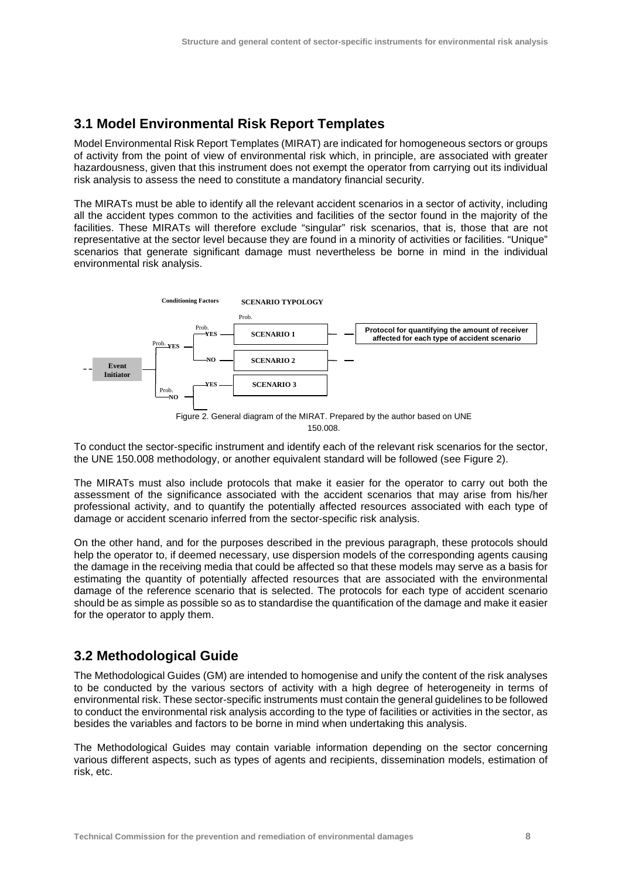### <span id="page-7-0"></span>**3.1 Model Environmental Risk Report Templates**

Model Environmental Risk Report Templates (MIRAT) are indicated for homogeneous sectors or groups of activity from the point of view of environmental risk which, in principle, are associated with greater hazardousness, given that this instrument does not exempt the operator from carrying out its individual risk analysis to assess the need to constitute a mandatory financial security.

The MIRATs must be able to identify all the relevant accident scenarios in a sector of activity, including all the accident types common to the activities and facilities of the sector found in the majority of the facilities. These MIRATs will therefore exclude "singular" risk scenarios, that is, those that are not representative at the sector level because they are found in a minority of activities or facilities. "Unique" scenarios that generate significant damage must nevertheless be borne in mind in the individual environmental risk analysis.



To conduct the sector-specific instrument and identify each of the relevant risk scenarios for the sector, the UNE 150.008 methodology, or another equivalent standard will be followed (see Figure 2).

The MIRATs must also include protocols that make it easier for the operator to carry out both the assessment of the significance associated with the accident scenarios that may arise from his/her professional activity, and to quantify the potentially affected resources associated with each type of damage or accident scenario inferred from the sector-specific risk analysis.

On the other hand, and for the purposes described in the previous paragraph, these protocols should help the operator to, if deemed necessary, use dispersion models of the corresponding agents causing the damage in the receiving media that could be affected so that these models may serve as a basis for estimating the quantity of potentially affected resources that are associated with the environmental damage of the reference scenario that is selected. The protocols for each type of accident scenario should be as simple as possible so as to standardise the quantification of the damage and make it easier for the operator to apply them.

### <span id="page-7-1"></span>**3.2 Methodological Guide**

The Methodological Guides (GM) are intended to homogenise and unify the content of the risk analyses to be conducted by the various sectors of activity with a high degree of heterogeneity in terms of environmental risk. These sector-specific instruments must contain the general guidelines to be followed to conduct the environmental risk analysis according to the type of facilities or activities in the sector, as besides the variables and factors to be borne in mind when undertaking this analysis.

The Methodological Guides may contain variable information depending on the sector concerning various different aspects, such as types of agents and recipients, dissemination models, estimation of risk, etc.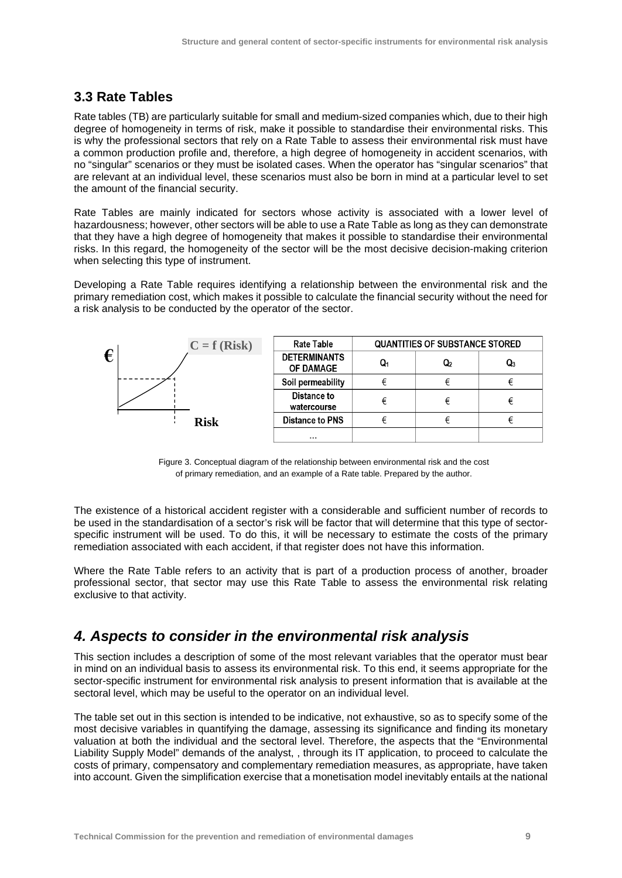### <span id="page-8-0"></span>**3.3 Rate Tables**

Rate tables (TB) are particularly suitable for small and medium-sized companies which, due to their high degree of homogeneity in terms of risk, make it possible to standardise their environmental risks. This is why the professional sectors that rely on a Rate Table to assess their environmental risk must have a common production profile and, therefore, a high degree of homogeneity in accident scenarios, with no "singular" scenarios or they must be isolated cases. When the operator has "singular scenarios" that are relevant at an individual level, these scenarios must also be born in mind at a particular level to set the amount of the financial security.

Rate Tables are mainly indicated for sectors whose activity is associated with a lower level of hazardousness; however, other sectors will be able to use a Rate Table as long as they can demonstrate that they have a high degree of homogeneity that makes it possible to standardise their environmental risks. In this regard, the homogeneity of the sector will be the most decisive decision-making criterion when selecting this type of instrument.

Developing a Rate Table requires identifying a relationship between the environmental risk and the primary remediation cost, which makes it possible to calculate the financial security without the need for a risk analysis to be conducted by the operator of the sector.



Figure 3. Conceptual diagram of the relationship between environmental risk and the cost of primary remediation, and an example of a Rate table. Prepared by the author.

The existence of a historical accident register with a considerable and sufficient number of records to be used in the standardisation of a sector's risk will be factor that will determine that this type of sectorspecific instrument will be used. To do this, it will be necessary to estimate the costs of the primary remediation associated with each accident, if that register does not have this information.

Where the Rate Table refers to an activity that is part of a production process of another, broader professional sector, that sector may use this Rate Table to assess the environmental risk relating exclusive to that activity.

## <span id="page-8-1"></span>*4. Aspects to consider in the environmental risk analysis*

This section includes a description of some of the most relevant variables that the operator must bear in mind on an individual basis to assess its environmental risk. To this end, it seems appropriate for the sector-specific instrument for environmental risk analysis to present information that is available at the sectoral level, which may be useful to the operator on an individual level.

The table set out in this section is intended to be indicative, not exhaustive, so as to specify some of the most decisive variables in quantifying the damage, assessing its significance and finding its monetary valuation at both the individual and the sectoral level. Therefore, the aspects that the "Environmental Liability Supply Model" demands of the analyst, , through its IT application, to proceed to calculate the costs of primary, compensatory and complementary remediation measures, as appropriate, have taken into account. Given the simplification exercise that a monetisation model inevitably entails at the national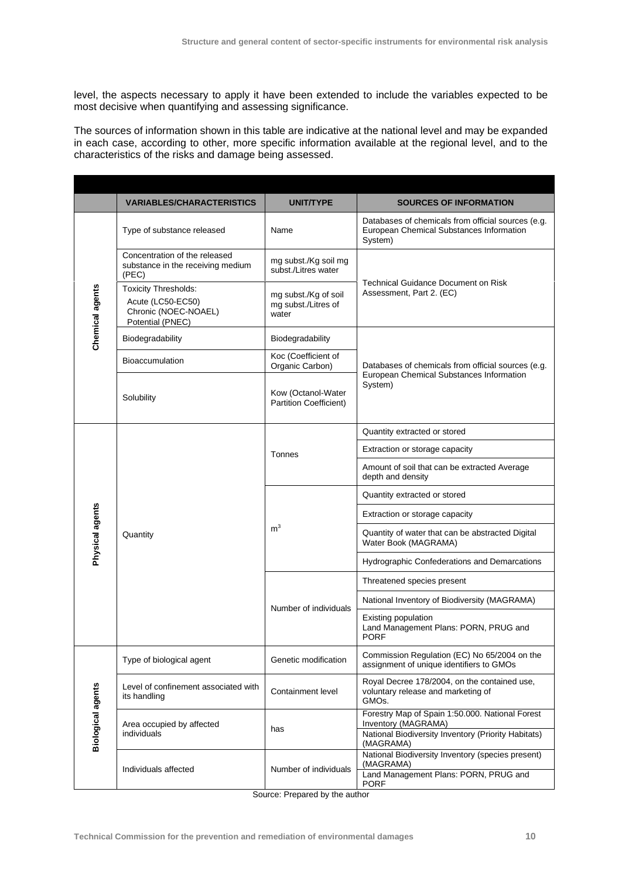level, the aspects necessary to apply it have been extended to include the variables expected to be most decisive when quantifying and assessing significance.

The sources of information shown in this table are indicative at the national level and may be expanded in each case, according to other, more specific information available at the regional level, and to the characteristics of the risks and damage being assessed.

|                          | <b>VARIABLES/CHARACTERISTICS</b>                                                             | <b>UNIT/TYPE</b>                                     | <b>SOURCES OF INFORMATION</b>                                                                                                 |
|--------------------------|----------------------------------------------------------------------------------------------|------------------------------------------------------|-------------------------------------------------------------------------------------------------------------------------------|
| Chemical agents          | Type of substance released                                                                   | Name                                                 | Databases of chemicals from official sources (e.g.<br>European Chemical Substances Information<br>System)                     |
|                          | Concentration of the released<br>substance in the receiving medium<br>(PEC)                  | mg subst./Kg soil mg<br>subst./Litres water          | <b>Technical Guidance Document on Risk</b><br>Assessment, Part 2. (EC)                                                        |
|                          | <b>Toxicity Thresholds:</b><br>Acute (LC50-EC50)<br>Chronic (NOEC-NOAEL)<br>Potential (PNEC) | mg subst./Kg of soil<br>mg subst./Litres of<br>water |                                                                                                                               |
|                          | Biodegradability                                                                             | Biodegradability                                     |                                                                                                                               |
|                          | Bioaccumulation                                                                              | Koc (Coefficient of<br>Organic Carbon)               | Databases of chemicals from official sources (e.g.<br>European Chemical Substances Information<br>System)                     |
|                          | Solubility                                                                                   | Kow (Octanol-Water<br><b>Partition Coefficient)</b>  |                                                                                                                               |
|                          | Quantity                                                                                     |                                                      | Quantity extracted or stored                                                                                                  |
|                          |                                                                                              | Tonnes                                               | Extraction or storage capacity                                                                                                |
|                          |                                                                                              |                                                      | Amount of soil that can be extracted Average<br>depth and density                                                             |
|                          |                                                                                              | m <sup>3</sup>                                       | Quantity extracted or stored                                                                                                  |
|                          |                                                                                              |                                                      | Extraction or storage capacity                                                                                                |
| Physical agents          |                                                                                              |                                                      | Quantity of water that can be abstracted Digital<br>Water Book (MAGRAMA)                                                      |
|                          |                                                                                              |                                                      | Hydrographic Confederations and Demarcations                                                                                  |
|                          |                                                                                              | Number of individuals                                | Threatened species present                                                                                                    |
|                          |                                                                                              |                                                      | National Inventory of Biodiversity (MAGRAMA)                                                                                  |
|                          |                                                                                              |                                                      | Existing population<br>Land Management Plans: PORN, PRUG and<br><b>PORF</b>                                                   |
| <b>Biological agents</b> | Type of biological agent                                                                     | Genetic modification                                 | Commission Regulation (EC) No 65/2004 on the<br>assignment of unique identifiers to GMOs                                      |
|                          | Level of confinement associated with<br>its handling                                         | Containment level                                    | Royal Decree 178/2004, on the contained use,<br>voluntary release and marketing of<br>GMO <sub>s</sub> .                      |
|                          | Area occupied by affected<br>individuals                                                     | has                                                  | Forestry Map of Spain 1:50.000. National Forest<br>Inventory (MAGRAMA)<br>National Biodiversity Inventory (Priority Habitats) |
|                          |                                                                                              |                                                      | (MAGRAMA)                                                                                                                     |
|                          | Individuals affected                                                                         | Number of individuals                                | National Biodiversity Inventory (species present)<br>(MAGRAMA)                                                                |
|                          |                                                                                              |                                                      | Land Management Plans: PORN, PRUG and<br><b>PORF</b>                                                                          |

Source: Prepared by the author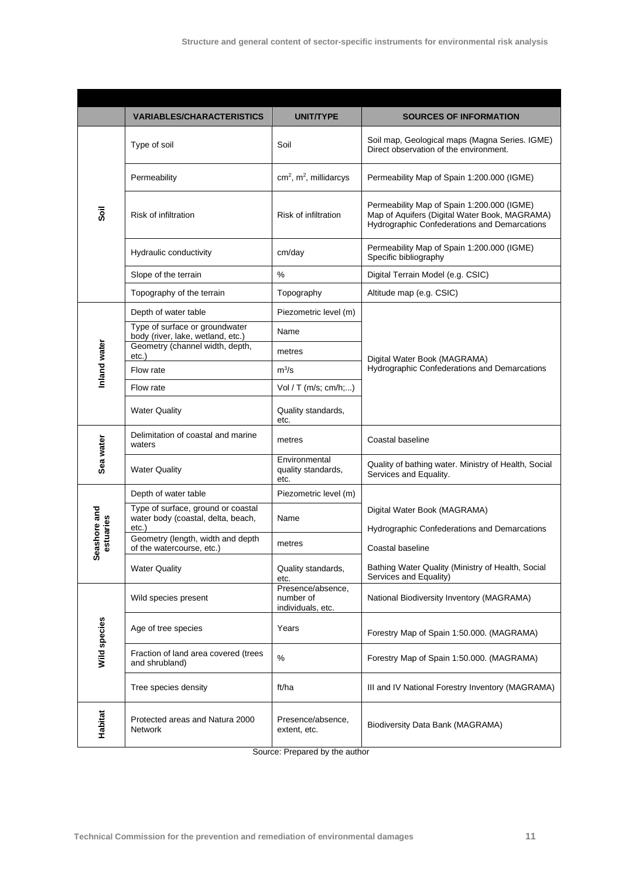|              | <b>VARIABLES/CHARACTERISTICS</b>                                                  | UNIT/TYPE                                           | <b>SOURCES OF INFORMATION</b>                                                                                                               |
|--------------|-----------------------------------------------------------------------------------|-----------------------------------------------------|---------------------------------------------------------------------------------------------------------------------------------------------|
| <b>Soil</b>  | Type of soil                                                                      | Soil                                                | Soil map, Geological maps (Magna Series. IGME)<br>Direct observation of the environment.                                                    |
|              | Permeability                                                                      | cm <sup>2</sup> , m <sup>2</sup> , millidarcys      | Permeability Map of Spain 1:200.000 (IGME)                                                                                                  |
|              | Risk of infiltration                                                              | Risk of infiltration                                | Permeability Map of Spain 1:200.000 (IGME)<br>Map of Aquifers (Digital Water Book, MAGRAMA)<br>Hydrographic Confederations and Demarcations |
|              | Hydraulic conductivity                                                            | cm/day                                              | Permeability Map of Spain 1:200.000 (IGME)<br>Specific bibliography                                                                         |
|              | Slope of the terrain                                                              | %                                                   | Digital Terrain Model (e.g. CSIC)                                                                                                           |
|              | Topography of the terrain                                                         | Topography                                          | Altitude map (e.g. CSIC)                                                                                                                    |
|              | Depth of water table                                                              | Piezometric level (m)                               |                                                                                                                                             |
|              | Type of surface or groundwater<br>body (river, lake, wetland, etc.)               | Name                                                |                                                                                                                                             |
|              | Geometry (channel width, depth,                                                   | metres                                              |                                                                                                                                             |
| Inland water | $etc.$ )<br>Flow rate                                                             | $m^3/s$                                             | Digital Water Book (MAGRAMA)<br>Hydrographic Confederations and Demarcations                                                                |
|              | Flow rate                                                                         | $Vol / T$ (m/s; cm/h;)                              |                                                                                                                                             |
|              | <b>Water Quality</b>                                                              | Quality standards,<br>etc.                          |                                                                                                                                             |
|              | Delimitation of coastal and marine<br>waters                                      | metres                                              | Coastal baseline                                                                                                                            |
| Sea water    | <b>Water Quality</b>                                                              | Environmental<br>quality standards,<br>etc.         | Quality of bathing water. Ministry of Health, Social<br>Services and Equality.                                                              |
|              | Depth of water table                                                              | Piezometric level (m)                               |                                                                                                                                             |
| Seashore and | Type of surface, ground or coastal<br>water body (coastal, delta, beach,<br>etc.) | Name                                                | Digital Water Book (MAGRAMA)<br>Hydrographic Confederations and Demarcations                                                                |
| estuaries    | Geometry (length, width and depth<br>of the watercourse, etc.)                    | metres                                              | Coastal baseline                                                                                                                            |
|              | <b>Water Quality</b>                                                              | Quality standards,<br>etc.                          | Bathing Water Quality (Ministry of Health, Social<br>Services and Equality)                                                                 |
|              | Wild species present                                                              | Presence/absence,<br>number of<br>individuals, etc. | National Biodiversity Inventory (MAGRAMA)                                                                                                   |
| Wild species | Age of tree species                                                               | Years                                               | Forestry Map of Spain 1:50.000. (MAGRAMA)                                                                                                   |
|              | Fraction of land area covered (trees<br>and shrubland)                            | $\%$                                                | Forestry Map of Spain 1:50.000. (MAGRAMA)                                                                                                   |
|              | Tree species density                                                              | ft/ha                                               | III and IV National Forestry Inventory (MAGRAMA)                                                                                            |
| Habitat      | Protected areas and Natura 2000<br>Network                                        | Presence/absence,<br>extent, etc.                   | Biodiversity Data Bank (MAGRAMA)                                                                                                            |

Source: Prepared by the author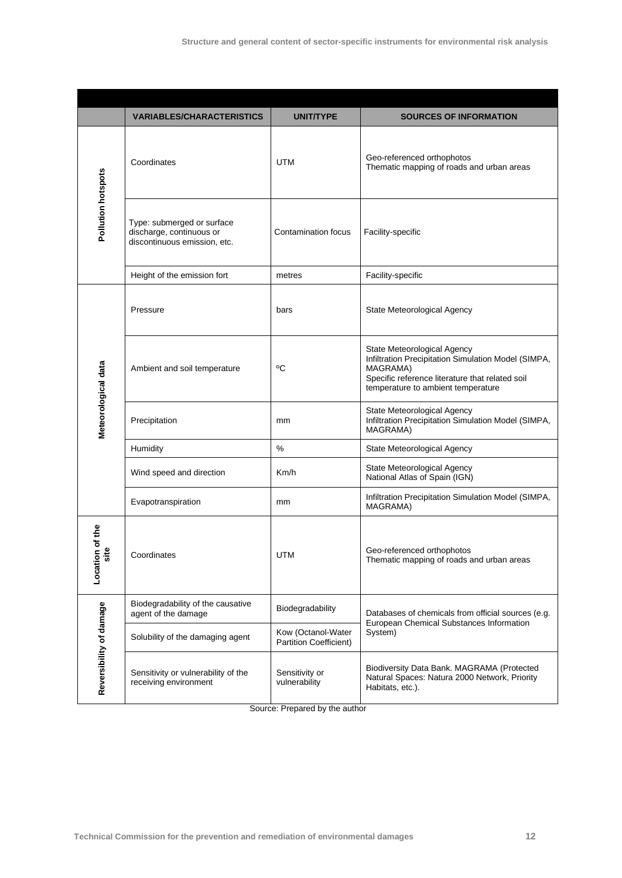|                              | <b>VARIABLES/CHARACTERISTICS</b>                                                       | UNIT/TYPE                                           | <b>SOURCES OF INFORMATION</b>                                                                                                                                                           |
|------------------------------|----------------------------------------------------------------------------------------|-----------------------------------------------------|-----------------------------------------------------------------------------------------------------------------------------------------------------------------------------------------|
| Pollution hotspots           | Coordinates                                                                            | <b>UTM</b>                                          | Geo-referenced orthophotos<br>Thematic mapping of roads and urban areas                                                                                                                 |
|                              | Type: submerged or surface<br>discharge, continuous or<br>discontinuous emission, etc. | <b>Contamination focus</b>                          | Facility-specific                                                                                                                                                                       |
|                              | Height of the emission fort                                                            | metres                                              | Facility-specific                                                                                                                                                                       |
| Meteorological data          | Pressure                                                                               | bars                                                | State Meteorological Agency                                                                                                                                                             |
|                              | Ambient and soil temperature                                                           | °C                                                  | State Meteorological Agency<br>Infiltration Precipitation Simulation Model (SIMPA,<br>MAGRAMA)<br>Specific reference literature that related soil<br>temperature to ambient temperature |
|                              | Precipitation                                                                          | mm                                                  | State Meteorological Agency<br>Infiltration Precipitation Simulation Model (SIMPA,<br>MAGRAMA)                                                                                          |
|                              | Humidity                                                                               | %                                                   | State Meteorological Agency                                                                                                                                                             |
|                              | Wind speed and direction                                                               | Km/h                                                | State Meteorological Agency<br>National Atlas of Spain (IGN)                                                                                                                            |
|                              | Evapotranspiration                                                                     | mm                                                  | Infiltration Precipitation Simulation Model (SIMPA,<br>MAGRAMA)                                                                                                                         |
| on of the<br>site<br>Locatio | Coordinates                                                                            | <b>UTM</b>                                          | Geo-referenced orthophotos<br>Thematic mapping of roads and urban areas                                                                                                                 |
|                              | Biodegradability of the causative<br>agent of the damage                               | Biodegradability                                    | Databases of chemicals from official sources (e.g.<br>European Chemical Substances Information<br>System)                                                                               |
| Reversibility of damage      | Solubility of the damaging agent                                                       | Kow (Octanol-Water<br><b>Partition Coefficient)</b> |                                                                                                                                                                                         |
|                              | Sensitivity or vulnerability of the<br>receiving environment                           | Sensitivity or<br>vulnerability                     | Biodiversity Data Bank. MAGRAMA (Protected<br>Natural Spaces: Natura 2000 Network, Priority<br>Habitats, etc.).                                                                         |

Source: Prepared by the author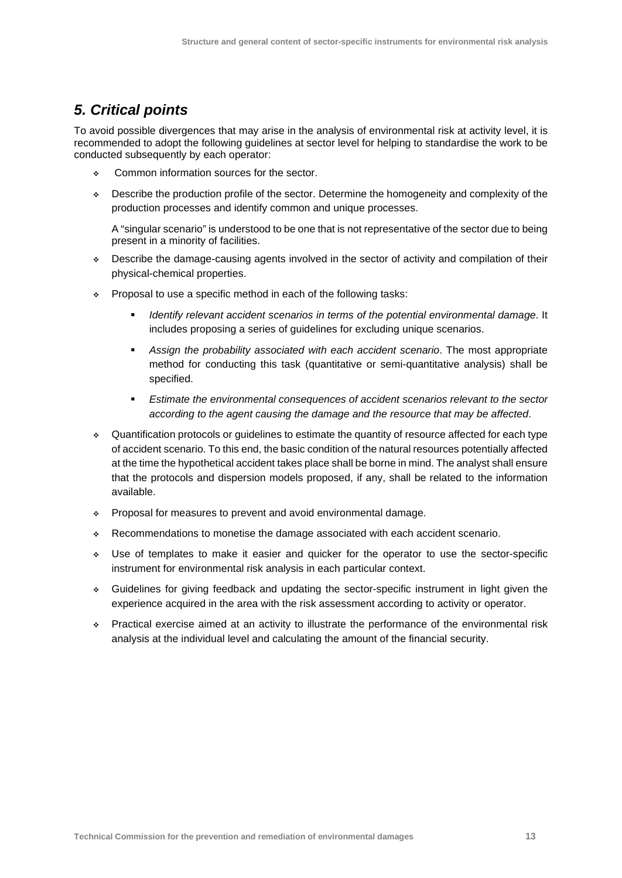# <span id="page-12-0"></span>*5. Critical points*

To avoid possible divergences that may arise in the analysis of environmental risk at activity level, it is recommended to adopt the following guidelines at sector level for helping to standardise the work to be conducted subsequently by each operator:

- Common information sources for the sector.
- Describe the production profile of the sector. Determine the homogeneity and complexity of the production processes and identify common and unique processes.

A "singular scenario" is understood to be one that is not representative of the sector due to being present in a minority of facilities.

- Describe the damage-causing agents involved in the sector of activity and compilation of their physical-chemical properties.
- Proposal to use a specific method in each of the following tasks:
	- *Identify relevant accident scenarios in terms of the potential environmental damage*. It includes proposing a series of guidelines for excluding unique scenarios.
	- *Assign the probability associated with each accident scenario*. The most appropriate method for conducting this task (quantitative or semi-quantitative analysis) shall be specified.
	- **Estimate the environmental consequences of accident scenarios relevant to the sector** *according to the agent causing the damage and the resource that may be affected*.
- Quantification protocols or guidelines to estimate the quantity of resource affected for each type of accident scenario. To this end, the basic condition of the natural resources potentially affected at the time the hypothetical accident takes place shall be borne in mind. The analyst shall ensure that the protocols and dispersion models proposed, if any, shall be related to the information available.
- \* Proposal for measures to prevent and avoid environmental damage.
- Recommendations to monetise the damage associated with each accident scenario.
- Use of templates to make it easier and quicker for the operator to use the sector-specific instrument for environmental risk analysis in each particular context.
- Guidelines for giving feedback and updating the sector-specific instrument in light given the experience acquired in the area with the risk assessment according to activity or operator.
- Practical exercise aimed at an activity to illustrate the performance of the environmental risk analysis at the individual level and calculating the amount of the financial security.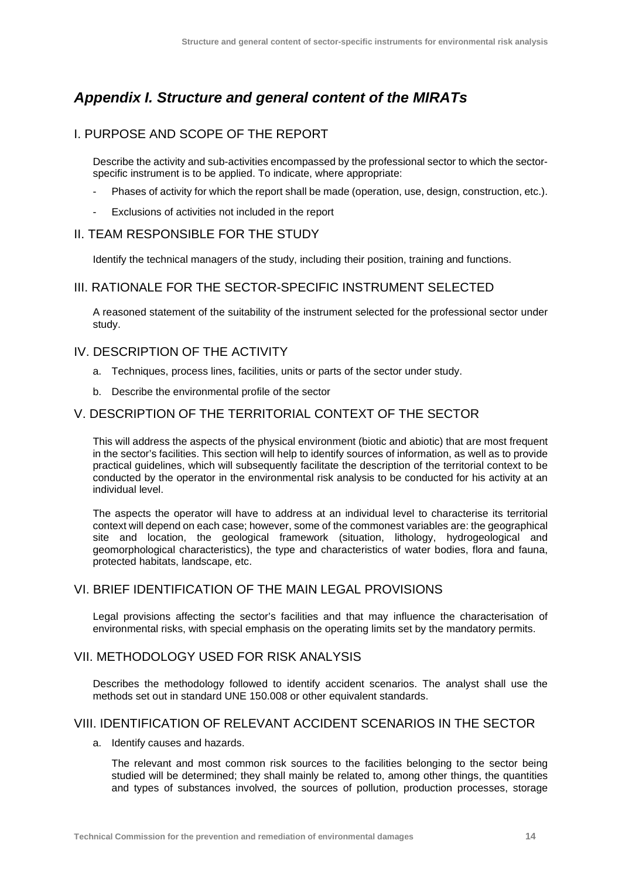# <span id="page-13-0"></span>*Appendix I. Structure and general content of the MIRATs*

### I. PURPOSE AND SCOPE OF THE REPORT

Describe the activity and sub-activities encompassed by the professional sector to which the sectorspecific instrument is to be applied. To indicate, where appropriate:

- Phases of activity for which the report shall be made (operation, use, design, construction, etc.).
- Exclusions of activities not included in the report

#### IL TEAM RESPONSIBLE FOR THE STUDY

Identify the technical managers of the study, including their position, training and functions.

#### III. RATIONALE FOR THE SECTOR-SPECIFIC INSTRUMENT SELECTED

A reasoned statement of the suitability of the instrument selected for the professional sector under study.

#### IV. DESCRIPTION OF THE ACTIVITY

- a. Techniques, process lines, facilities, units or parts of the sector under study.
- b. Describe the environmental profile of the sector

#### V. DESCRIPTION OF THE TERRITORIAL CONTEXT OF THE SECTOR

This will address the aspects of the physical environment (biotic and abiotic) that are most frequent in the sector's facilities. This section will help to identify sources of information, as well as to provide practical guidelines, which will subsequently facilitate the description of the territorial context to be conducted by the operator in the environmental risk analysis to be conducted for his activity at an individual level.

The aspects the operator will have to address at an individual level to characterise its territorial context will depend on each case; however, some of the commonest variables are: the geographical site and location, the geological framework (situation, lithology, hydrogeological and geomorphological characteristics), the type and characteristics of water bodies, flora and fauna, protected habitats, landscape, etc.

#### VI. BRIEF IDENTIFICATION OF THE MAIN LEGAL PROVISIONS

Legal provisions affecting the sector's facilities and that may influence the characterisation of environmental risks, with special emphasis on the operating limits set by the mandatory permits.

#### VII. METHODOLOGY USED FOR RISK ANALYSIS

Describes the methodology followed to identify accident scenarios. The analyst shall use the methods set out in standard UNE 150.008 or other equivalent standards.

#### VIII. IDENTIFICATION OF RELEVANT ACCIDENT SCENARIOS IN THE SECTOR

a. Identify causes and hazards.

The relevant and most common risk sources to the facilities belonging to the sector being studied will be determined; they shall mainly be related to, among other things, the quantities and types of substances involved, the sources of pollution, production processes, storage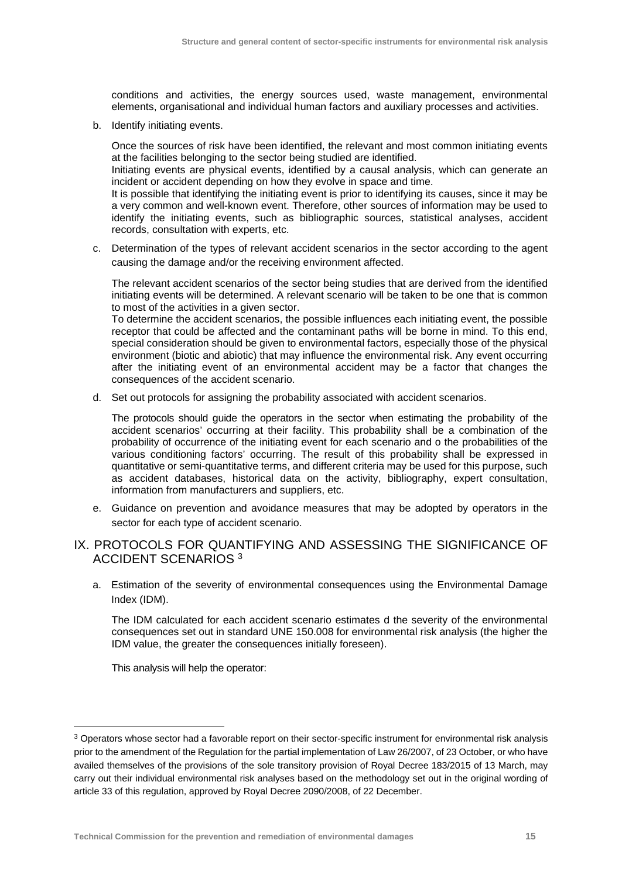conditions and activities, the energy sources used, waste management, environmental elements, organisational and individual human factors and auxiliary processes and activities.

b. Identify initiating events.

Once the sources of risk have been identified, the relevant and most common initiating events at the facilities belonging to the sector being studied are identified.

Initiating events are physical events, identified by a causal analysis, which can generate an incident or accident depending on how they evolve in space and time.

It is possible that identifying the initiating event is prior to identifying its causes, since it may be a very common and well-known event. Therefore, other sources of information may be used to identify the initiating events, such as bibliographic sources, statistical analyses, accident records, consultation with experts, etc.

c. Determination of the types of relevant accident scenarios in the sector according to the agent causing the damage and/or the receiving environment affected.

The relevant accident scenarios of the sector being studies that are derived from the identified initiating events will be determined. A relevant scenario will be taken to be one that is common to most of the activities in a given sector.

To determine the accident scenarios, the possible influences each initiating event, the possible receptor that could be affected and the contaminant paths will be borne in mind. To this end, special consideration should be given to environmental factors, especially those of the physical environment (biotic and abiotic) that may influence the environmental risk. Any event occurring after the initiating event of an environmental accident may be a factor that changes the consequences of the accident scenario.

d. Set out protocols for assigning the probability associated with accident scenarios.

The protocols should guide the operators in the sector when estimating the probability of the accident scenarios' occurring at their facility. This probability shall be a combination of the probability of occurrence of the initiating event for each scenario and o the probabilities of the various conditioning factors' occurring. The result of this probability shall be expressed in quantitative or semi-quantitative terms, and different criteria may be used for this purpose, such as accident databases, historical data on the activity, bibliography, expert consultation, information from manufacturers and suppliers, etc.

e. Guidance on prevention and avoidance measures that may be adopted by operators in the sector for each type of accident scenario.

#### IX. PROTOCOLS FOR QUANTIFYING AND ASSESSING THE SIGNIFICANCE OF ACCIDENT SCENARIOS <sup>3</sup>

a. Estimation of the severity of environmental consequences using the Environmental Damage Index (IDM).

The IDM calculated for each accident scenario estimates d the severity of the environmental consequences set out in standard UNE 150.008 for environmental risk analysis (the higher the IDM value, the greater the consequences initially foreseen).

This analysis will help the operator:

<sup>&</sup>lt;sup>3</sup> Operators whose sector had a favorable report on their sector-specific instrument for environmental risk analysis prior to the amendment of the Regulation for the partial implementation of Law 26/2007, of 23 October, or who have availed themselves of the provisions of the sole transitory provision of Royal Decree 183/2015 of 13 March, may carry out their individual environmental risk analyses based on the methodology set out in the original wording of article 33 of this regulation, approved by Royal Decree 2090/2008, of 22 December.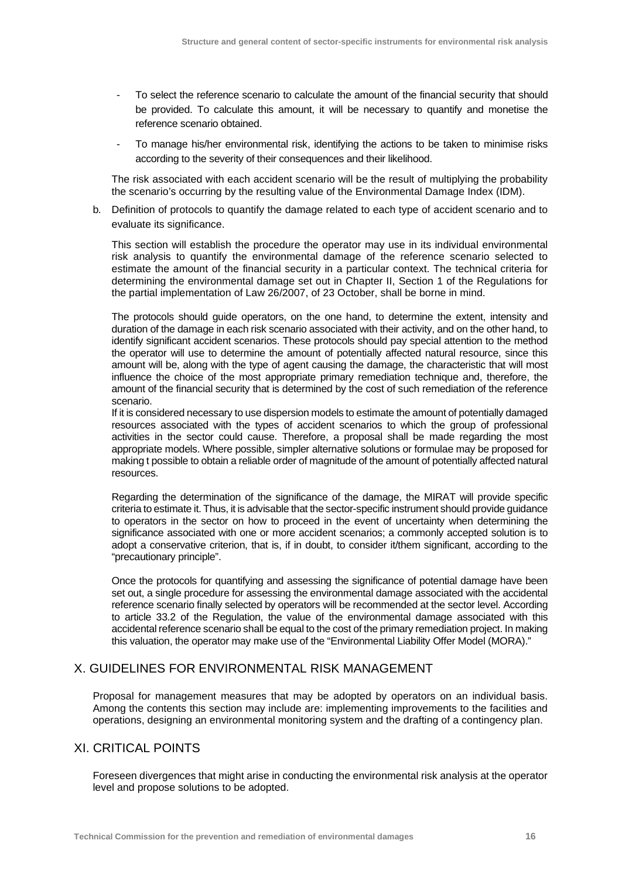- To select the reference scenario to calculate the amount of the financial security that should be provided. To calculate this amount, it will be necessary to quantify and monetise the reference scenario obtained.
- To manage his/her environmental risk, identifying the actions to be taken to minimise risks according to the severity of their consequences and their likelihood.

The risk associated with each accident scenario will be the result of multiplying the probability the scenario's occurring by the resulting value of the Environmental Damage Index (IDM).

b. Definition of protocols to quantify the damage related to each type of accident scenario and to evaluate its significance.

This section will establish the procedure the operator may use in its individual environmental risk analysis to quantify the environmental damage of the reference scenario selected to estimate the amount of the financial security in a particular context. The technical criteria for determining the environmental damage set out in Chapter II, Section 1 of the Regulations for the partial implementation of Law 26/2007, of 23 October, shall be borne in mind.

The protocols should guide operators, on the one hand, to determine the extent, intensity and duration of the damage in each risk scenario associated with their activity, and on the other hand, to identify significant accident scenarios. These protocols should pay special attention to the method the operator will use to determine the amount of potentially affected natural resource, since this amount will be, along with the type of agent causing the damage, the characteristic that will most influence the choice of the most appropriate primary remediation technique and, therefore, the amount of the financial security that is determined by the cost of such remediation of the reference scenario.

If it is considered necessary to use dispersion models to estimate the amount of potentially damaged resources associated with the types of accident scenarios to which the group of professional activities in the sector could cause. Therefore, a proposal shall be made regarding the most appropriate models. Where possible, simpler alternative solutions or formulae may be proposed for making t possible to obtain a reliable order of magnitude of the amount of potentially affected natural resources.

Regarding the determination of the significance of the damage, the MIRAT will provide specific criteria to estimate it. Thus, it is advisable that the sector-specific instrument should provide guidance to operators in the sector on how to proceed in the event of uncertainty when determining the significance associated with one or more accident scenarios; a commonly accepted solution is to adopt a conservative criterion, that is, if in doubt, to consider it/them significant, according to the "precautionary principle".

Once the protocols for quantifying and assessing the significance of potential damage have been set out, a single procedure for assessing the environmental damage associated with the accidental reference scenario finally selected by operators will be recommended at the sector level. According to article 33.2 of the Regulation, the value of the environmental damage associated with this accidental reference scenario shall be equal to the cost of the primary remediation project. In making this valuation, the operator may make use of the "Environmental Liability Offer Model (MORA)."

#### X. GUIDELINES FOR ENVIRONMENTAL RISK MANAGEMENT

Proposal for management measures that may be adopted by operators on an individual basis. Among the contents this section may include are: implementing improvements to the facilities and operations, designing an environmental monitoring system and the drafting of a contingency plan.

#### XI. CRITICAL POINTS

Foreseen divergences that might arise in conducting the environmental risk analysis at the operator level and propose solutions to be adopted.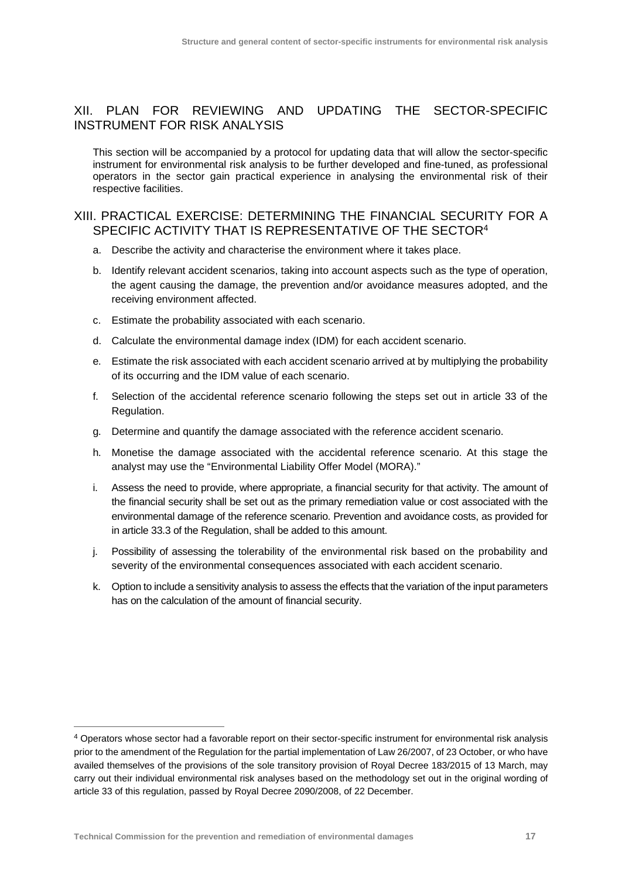#### XII. PLAN FOR REVIEWING AND UPDATING THE SECTOR-SPECIFIC INSTRUMENT FOR RISK ANALYSIS

This section will be accompanied by a protocol for updating data that will allow the sector-specific instrument for environmental risk analysis to be further developed and fine-tuned, as professional operators in the sector gain practical experience in analysing the environmental risk of their respective facilities.

#### XIII. PRACTICAL EXERCISE: DETERMINING THE FINANCIAL SECURITY FOR A SPECIFIC ACTIVITY THAT IS REPRESENTATIVE OF THE SECTOR<sup>4</sup>

- a. Describe the activity and characterise the environment where it takes place.
- b. Identify relevant accident scenarios, taking into account aspects such as the type of operation, the agent causing the damage, the prevention and/or avoidance measures adopted, and the receiving environment affected.
- c. Estimate the probability associated with each scenario.
- d. Calculate the environmental damage index (IDM) for each accident scenario.
- e. Estimate the risk associated with each accident scenario arrived at by multiplying the probability of its occurring and the IDM value of each scenario.
- f. Selection of the accidental reference scenario following the steps set out in article 33 of the Regulation.
- g. Determine and quantify the damage associated with the reference accident scenario.
- h. Monetise the damage associated with the accidental reference scenario. At this stage the analyst may use the "Environmental Liability Offer Model (MORA)."
- i. Assess the need to provide, where appropriate, a financial security for that activity. The amount of the financial security shall be set out as the primary remediation value or cost associated with the environmental damage of the reference scenario. Prevention and avoidance costs, as provided for in article 33.3 of the Regulation, shall be added to this amount.
- j. Possibility of assessing the tolerability of the environmental risk based on the probability and severity of the environmental consequences associated with each accident scenario.
- k. Option to include a sensitivity analysis to assess the effects that the variation of the input parameters has on the calculation of the amount of financial security.

<sup>&</sup>lt;sup>4</sup> Operators whose sector had a favorable report on their sector-specific instrument for environmental risk analysis prior to the amendment of the Regulation for the partial implementation of Law 26/2007, of 23 October, or who have availed themselves of the provisions of the sole transitory provision of Royal Decree 183/2015 of 13 March, may carry out their individual environmental risk analyses based on the methodology set out in the original wording of article 33 of this regulation, passed by Royal Decree 2090/2008, of 22 December.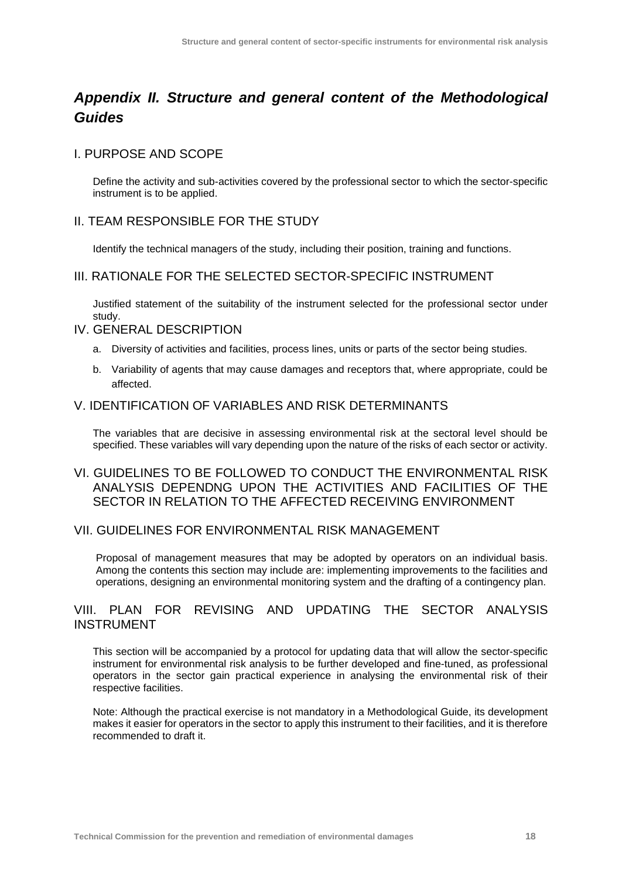# <span id="page-17-0"></span>*Appendix II. Structure and general content of the Methodological Guides*

#### I. PURPOSE AND SCOPE

Define the activity and sub-activities covered by the professional sector to which the sector-specific instrument is to be applied.

#### IL TEAM RESPONSIBLE FOR THE STUDY

Identify the technical managers of the study, including their position, training and functions.

#### III. RATIONALE FOR THE SELECTED SECTOR-SPECIFIC INSTRUMENT

Justified statement of the suitability of the instrument selected for the professional sector under study.

#### IV. GENERAL DESCRIPTION

- a. Diversity of activities and facilities, process lines, units or parts of the sector being studies.
- b. Variability of agents that may cause damages and receptors that, where appropriate, could be affected.

#### V. IDENTIFICATION OF VARIABLES AND RISK DETERMINANTS

The variables that are decisive in assessing environmental risk at the sectoral level should be specified. These variables will vary depending upon the nature of the risks of each sector or activity.

#### VI. GUIDELINES TO BE FOLLOWED TO CONDUCT THE ENVIRONMENTAL RISK ANALYSIS DEPENDNG UPON THE ACTIVITIES AND FACILITIES OF THE SECTOR IN RELATION TO THE AFFECTED RECEIVING ENVIRONMENT

#### VII. GUIDELINES FOR ENVIRONMENTAL RISK MANAGEMENT

Proposal of management measures that may be adopted by operators on an individual basis. Among the contents this section may include are: implementing improvements to the facilities and operations, designing an environmental monitoring system and the drafting of a contingency plan.

#### VIII. PLAN FOR REVISING AND UPDATING THE SECTOR ANALYSIS INSTRUMENT

This section will be accompanied by a protocol for updating data that will allow the sector-specific instrument for environmental risk analysis to be further developed and fine-tuned, as professional operators in the sector gain practical experience in analysing the environmental risk of their respective facilities.

Note: Although the practical exercise is not mandatory in a Methodological Guide, its development makes it easier for operators in the sector to apply this instrument to their facilities, and it is therefore recommended to draft it.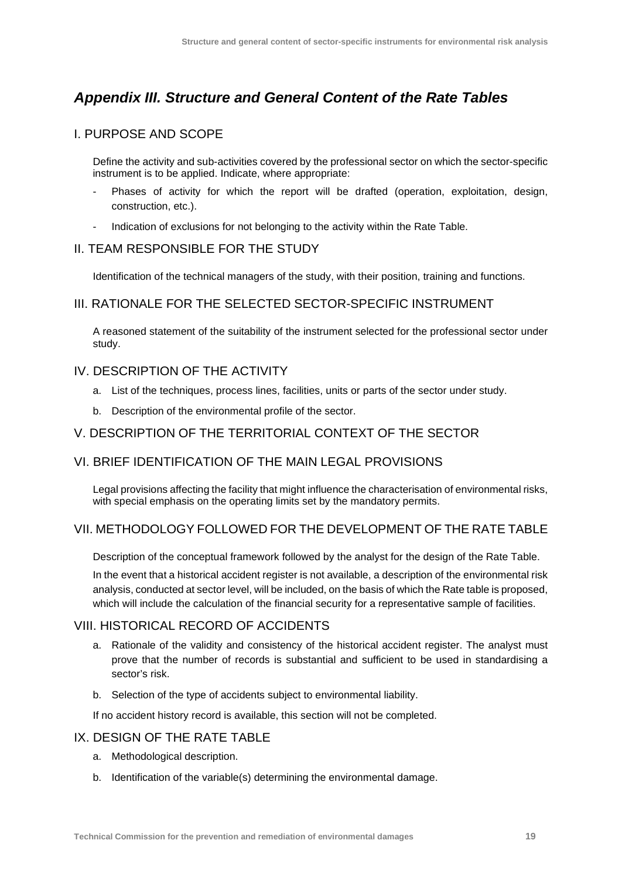# <span id="page-18-0"></span>*Appendix III. Structure and General Content of the Rate Tables*

#### I. PURPOSE AND SCOPE

Define the activity and sub-activities covered by the professional sector on which the sector-specific instrument is to be applied. Indicate, where appropriate:

- Phases of activity for which the report will be drafted (operation, exploitation, design, construction, etc.).
- Indication of exclusions for not belonging to the activity within the Rate Table.

#### II. TEAM RESPONSIBLE FOR THE STUDY

Identification of the technical managers of the study, with their position, training and functions.

### III. RATIONALE FOR THE SELECTED SECTOR-SPECIFIC INSTRUMENT

A reasoned statement of the suitability of the instrument selected for the professional sector under study.

#### IV. DESCRIPTION OF THE ACTIVITY

- a. List of the techniques, process lines, facilities, units or parts of the sector under study.
- b. Description of the environmental profile of the sector.

#### V. DESCRIPTION OF THE TERRITORIAL CONTEXT OF THE SECTOR

#### VI. BRIEF IDENTIFICATION OF THE MAIN LEGAL PROVISIONS

Legal provisions affecting the facility that might influence the characterisation of environmental risks, with special emphasis on the operating limits set by the mandatory permits.

#### VII. METHODOLOGY FOLLOWED FOR THE DEVELOPMENT OF THE RATE TABLE

Description of the conceptual framework followed by the analyst for the design of the Rate Table.

In the event that a historical accident register is not available, a description of the environmental risk analysis, conducted at sector level, will be included, on the basis of which the Rate table is proposed, which will include the calculation of the financial security for a representative sample of facilities.

#### VIII. HISTORICAL RECORD OF ACCIDENTS

- a. Rationale of the validity and consistency of the historical accident register. The analyst must prove that the number of records is substantial and sufficient to be used in standardising a sector's risk.
- b. Selection of the type of accidents subject to environmental liability.

If no accident history record is available, this section will not be completed.

#### IX. DESIGN OF THE RATE TABLE

- a. Methodological description.
- b. Identification of the variable(s) determining the environmental damage.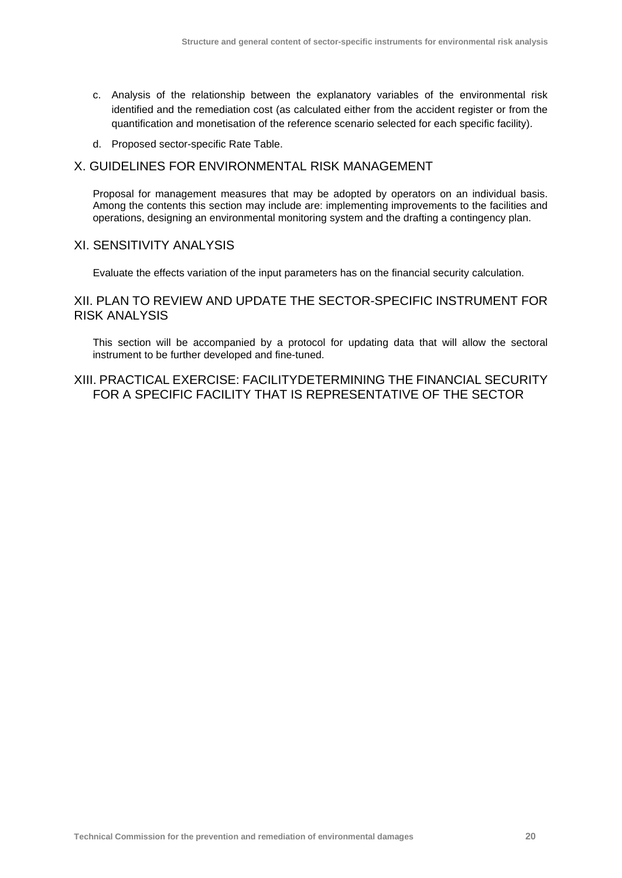- c. Analysis of the relationship between the explanatory variables of the environmental risk identified and the remediation cost (as calculated either from the accident register or from the quantification and monetisation of the reference scenario selected for each specific facility).
- d. Proposed sector-specific Rate Table.

#### X. GUIDELINES FOR ENVIRONMENTAL RISK MANAGEMENT

Proposal for management measures that may be adopted by operators on an individual basis. Among the contents this section may include are: implementing improvements to the facilities and operations, designing an environmental monitoring system and the drafting a contingency plan.

#### XI. SENSITIVITY ANALYSIS

Evaluate the effects variation of the input parameters has on the financial security calculation.

#### XII. PLAN TO REVIEW AND UPDATE THE SECTOR-SPECIFIC INSTRUMENT FOR RISK ANALYSIS

This section will be accompanied by a protocol for updating data that will allow the sectoral instrument to be further developed and fine-tuned.

#### XIII. PRACTICAL EXERCISE: FACILITYDETERMINING THE FINANCIAL SECURITY FOR A SPECIFIC FACILITY THAT IS REPRESENTATIVE OF THE SECTOR